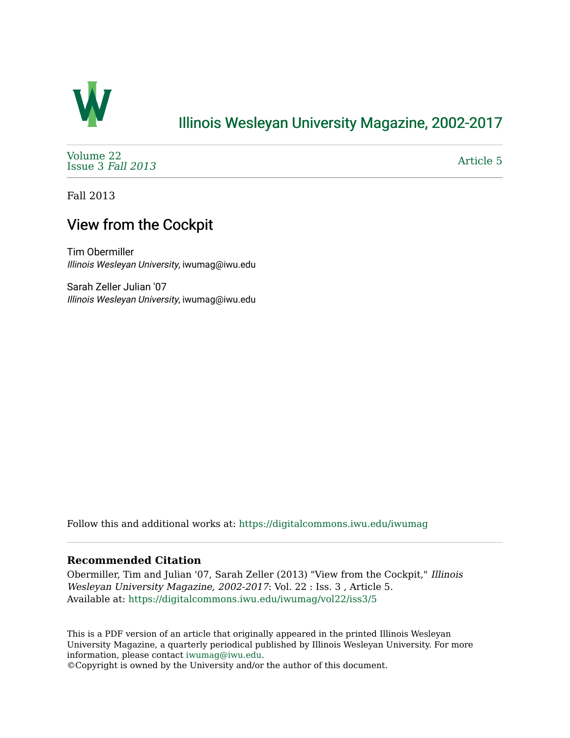

## [Illinois Wesleyan University Magazine, 2002-2017](https://digitalcommons.iwu.edu/iwumag)

[Volume 22](https://digitalcommons.iwu.edu/iwumag/vol22)  [Issue 3](https://digitalcommons.iwu.edu/iwumag/vol22/iss3) Fall 2013

[Article 5](https://digitalcommons.iwu.edu/iwumag/vol22/iss3/5) 

Fall 2013

## View from the Cockpit

Tim Obermiller Illinois Wesleyan University, iwumag@iwu.edu

Sarah Zeller Julian '07 Illinois Wesleyan University, iwumag@iwu.edu

Follow this and additional works at: [https://digitalcommons.iwu.edu/iwumag](https://digitalcommons.iwu.edu/iwumag?utm_source=digitalcommons.iwu.edu%2Fiwumag%2Fvol22%2Fiss3%2F5&utm_medium=PDF&utm_campaign=PDFCoverPages) 

### **Recommended Citation**

Obermiller, Tim and Julian '07, Sarah Zeller (2013) "View from the Cockpit," Illinois Wesleyan University Magazine, 2002-2017: Vol. 22 : Iss. 3 , Article 5. Available at: [https://digitalcommons.iwu.edu/iwumag/vol22/iss3/5](https://digitalcommons.iwu.edu/iwumag/vol22/iss3/5?utm_source=digitalcommons.iwu.edu%2Fiwumag%2Fvol22%2Fiss3%2F5&utm_medium=PDF&utm_campaign=PDFCoverPages)

This is a PDF version of an article that originally appeared in the printed Illinois Wesleyan University Magazine, a quarterly periodical published by Illinois Wesleyan University. For more information, please contact [iwumag@iwu.edu](mailto:iwumag@iwu.edu).

©Copyright is owned by the University and/or the author of this document.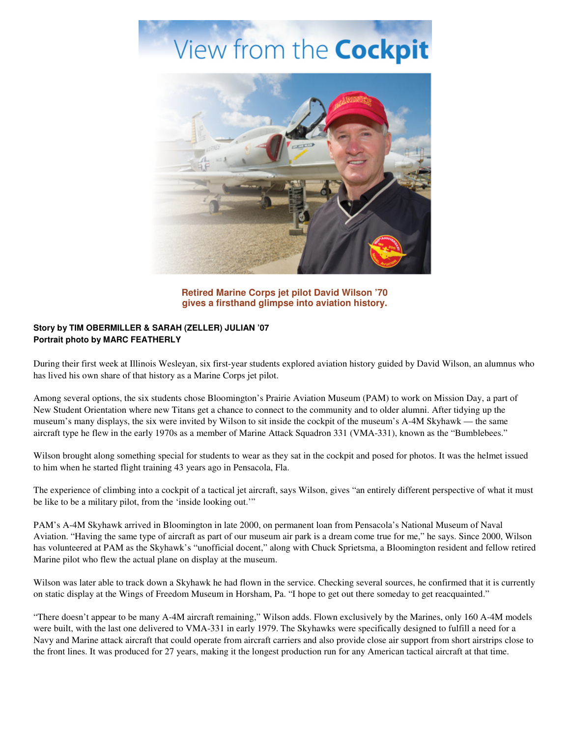# View from the **Cockpit**



**Retired Marine Corps jet pilot David Wilson '70 gives a firsthand glimpse into aviation history.** 

#### **Story by TIM OBERMILLER & SARAH (ZELLER) JULIAN '07 Portrait photo by MARC FEATHERLY**

During their first week at Illinois Wesleyan, six first-year students explored aviation history guided by David Wilson, an alumnus who has lived his own share of that history as a Marine Corps jet pilot.

Among several options, the six students chose Bloomington's Prairie Aviation Museum (PAM) to work on Mission Day, a part of New Student Orientation where new Titans get a chance to connect to the community and to older alumni. After tidying up the museum's many displays, the six were invited by Wilson to sit inside the cockpit of the museum's A-4M Skyhawk — the same aircraft type he flew in the early 1970s as a member of Marine Attack Squadron 331 (VMA-331), known as the "Bumblebees."

Wilson brought along something special for students to wear as they sat in the cockpit and posed for photos. It was the helmet issued to him when he started flight training 43 years ago in Pensacola, Fla.

The experience of climbing into a cockpit of a tactical jet aircraft, says Wilson, gives "an entirely different perspective of what it must be like to be a military pilot, from the 'inside looking out.'"

PAM's A-4M Skyhawk arrived in Bloomington in late 2000, on permanent loan from Pensacola's National Museum of Naval Aviation. "Having the same type of aircraft as part of our museum air park is a dream come true for me," he says. Since 2000, Wilson has volunteered at PAM as the Skyhawk's "unofficial docent," along with Chuck Sprietsma, a Bloomington resident and fellow retired Marine pilot who flew the actual plane on display at the museum.

Wilson was later able to track down a Skyhawk he had flown in the service. Checking several sources, he confirmed that it is currently on static display at the Wings of Freedom Museum in Horsham, Pa. "I hope to get out there someday to get reacquainted."

"There doesn't appear to be many A-4M aircraft remaining," Wilson adds. Flown exclusively by the Marines, only 160 A-4M models were built, with the last one delivered to VMA-331 in early 1979. The Skyhawks were specifically designed to fulfill a need for a Navy and Marine attack aircraft that could operate from aircraft carriers and also provide close air support from short airstrips close to the front lines. It was produced for 27 years, making it the longest production run for any American tactical aircraft at that time.